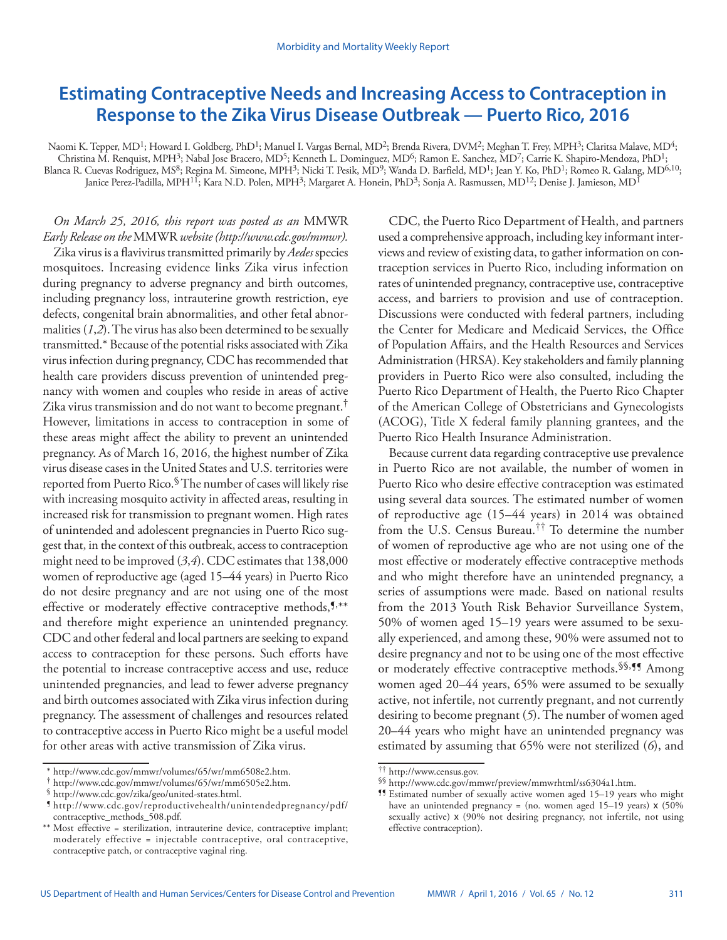# **Estimating Contraceptive Needs and Increasing Access to Contraception in Response to the Zika Virus Disease Outbreak — Puerto Rico, 2016**

Naomi K. Tepper, MD<sup>1</sup>; Howard I. Goldberg, PhD<sup>1</sup>; Manuel I. Vargas Bernal, MD<sup>2</sup>; Brenda Rivera, DVM<sup>2</sup>; Meghan T. Frey, MPH<sup>3</sup>; Claritsa Malave, MD<sup>4</sup>; Christina M. Renquist, MPH<sup>3</sup>; Nabal Jose Bracero, MD<sup>5</sup>; Kenneth L. Dominguez, MD<sup>6</sup>; Ramon E. Sanchez, MD<sup>7</sup>; Carrie K. Shapiro-Mendoza, PhD<sup>1</sup>; Blanca R. Cuevas Rodriguez, MS<sup>8</sup>; Regina M. Simeone, MPH<sup>3</sup>; Nicki T. Pesik, MD<sup>9</sup>; Wanda D. Barfield, MD<sup>1</sup>; Jean Y. Ko, PhD<sup>1</sup>; Romeo R. Galang, MD<sup>6,10</sup>; Janice Perez-Padilla, MPH<sup>11</sup>; Kara N.D. Polen, MPH<sup>3</sup>; Margaret A. Honein, PhD<sup>3</sup>; Sonja A. Rasmussen, MD<sup>12</sup>; Denise J. Jamieson, MD<sup>1</sup>

# *On March 25, 2016, this report was posted as an* MMWR *Early Release on the* MMWR *website [\(http://www.cdc.gov/mmwr](http://www.cdc.gov/mmwr)).*

Zika virus is a flavivirus transmitted primarily by *Aedes* species mosquitoes. Increasing evidence links Zika virus infection during pregnancy to adverse pregnancy and birth outcomes, including pregnancy loss, intrauterine growth restriction, eye defects, congenital brain abnormalities, and other fetal abnormalities (*1*,*2*). The virus has also been determined to be sexually transmitted.\* Because of the potential risks associated with Zika virus infection during pregnancy, CDC has recommended that health care providers discuss prevention of unintended pregnancy with women and couples who reside in areas of active Zika virus transmission and do not want to become pregnant.<sup>†</sup> However, limitations in access to contraception in some of these areas might affect the ability to prevent an unintended pregnancy. As of March 16, 2016, the highest number of Zika virus disease cases in the United States and U.S. territories were reported from Puerto Rico.§ The number of cases will likely rise with increasing mosquito activity in affected areas, resulting in increased risk for transmission to pregnant women. High rates of unintended and adolescent pregnancies in Puerto Rico suggest that, in the context of this outbreak, access to contraception might need to be improved (*3*,*4*). CDC estimates that 138,000 women of reproductive age (aged 15–44 years) in Puerto Rico do not desire pregnancy and are not using one of the most effective or moderately effective contraceptive methods, 5,\*\* and therefore might experience an unintended pregnancy. CDC and other federal and local partners are seeking to expand access to contraception for these persons. Such efforts have the potential to increase contraceptive access and use, reduce unintended pregnancies, and lead to fewer adverse pregnancy and birth outcomes associated with Zika virus infection during pregnancy. The assessment of challenges and resources related to contraceptive access in Puerto Rico might be a useful model for other areas with active transmission of Zika virus.

CDC, the Puerto Rico Department of Health, and partners used a comprehensive approach, including key informant interviews and review of existing data, to gather information on contraception services in Puerto Rico, including information on rates of unintended pregnancy, contraceptive use, contraceptive access, and barriers to provision and use of contraception. Discussions were conducted with federal partners, including the Center for Medicare and Medicaid Services, the Office of Population Affairs, and the Health Resources and Services Administration (HRSA). Key stakeholders and family planning providers in Puerto Rico were also consulted, including the Puerto Rico Department of Health, the Puerto Rico Chapter of the American College of Obstetricians and Gynecologists (ACOG), Title X federal family planning grantees, and the Puerto Rico Health Insurance Administration.

Because current data regarding contraceptive use prevalence in Puerto Rico are not available, the number of women in Puerto Rico who desire effective contraception was estimated using several data sources. The estimated number of women of reproductive age (15–44 years) in 2014 was obtained from the U.S. Census Bureau.†† To determine the number of women of reproductive age who are not using one of the most effective or moderately effective contraceptive methods and who might therefore have an unintended pregnancy, a series of assumptions were made. Based on national results from the 2013 Youth Risk Behavior Surveillance System, 50% of women aged 15–19 years were assumed to be sexually experienced, and among these, 90% were assumed not to desire pregnancy and not to be using one of the most effective or moderately effective contraceptive methods.<sup>§§, ¶</sup> Among women aged 20–44 years, 65% were assumed to be sexually active, not infertile, not currently pregnant, and not currently desiring to become pregnant (*5*). The number of women aged 20–44 years who might have an unintended pregnancy was estimated by assuming that 65% were not sterilized (*6*), and

<sup>\*</sup> [http://www.cdc.gov/mmwr/volumes/65/wr/mm6508e2.htm.](http://www.cdc.gov/mmwr/volumes/65/wr/mm6508e2.htm) † [http://www.cdc.gov/mmwr/volumes/65/wr/mm6505e2.htm.](http://www.cdc.gov/mmwr/volumes/65/wr/mm6505e2.htm) § <http://www.cdc.gov/zika/geo/united-states.html>. ¶ [http://www.cdc.gov/reproductivehealth/unintendedpregnancy/pdf/](http://www.cdc.gov/reproductivehealth/unintendedpregnancy/pdf/contraceptive_methods_508.pdf) [contraceptive\\_methods\\_508.pdf](http://www.cdc.gov/reproductivehealth/unintendedpregnancy/pdf/contraceptive_methods_508.pdf).

Most effective = sterilization, intrauterine device, contraceptive implant; moderately effective = injectable contraceptive, oral contraceptive, contraceptive patch, or contraceptive vaginal ring.

<sup>††</sup> [http://www.census.gov.](http://www.census.gov) §§ <http://www.cdc.gov/mmwr/preview/mmwrhtml/ss6304a1.htm>. ¶¶ Estimated number of sexually active women aged 15–19 years who might have an unintended pregnancy = (no. women aged  $15-19$  years) x (50%) sexually active) x (90% not desiring pregnancy, not infertile, not using effective contraception).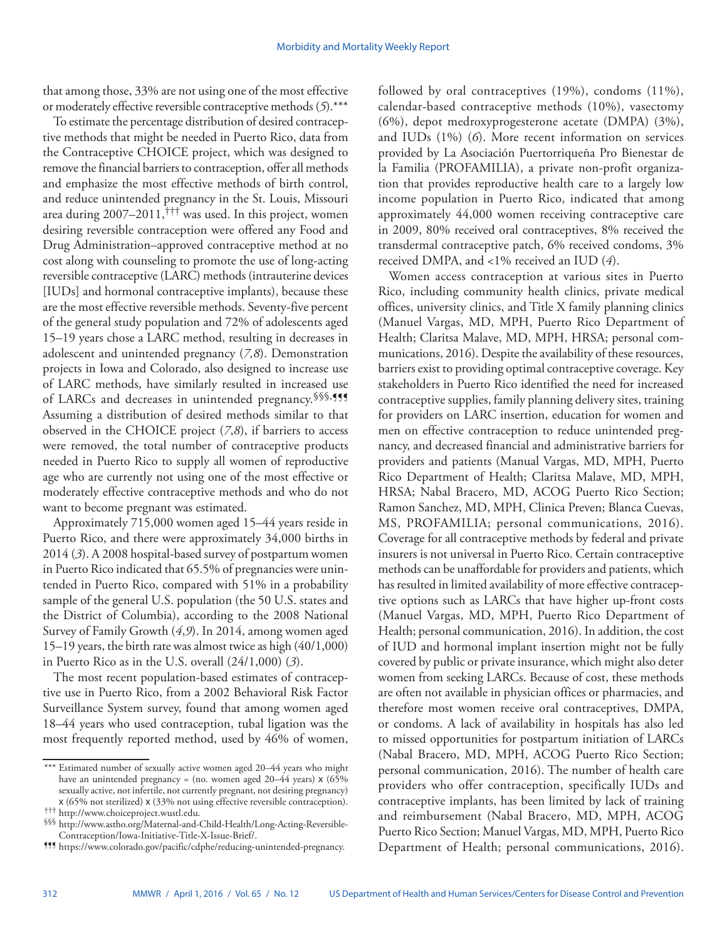that among those, 33% are not using one of the most effective or moderately effective reversible contraceptive methods (*5*).\*\*\*

To estimate the percentage distribution of desired contraceptive methods that might be needed in Puerto Rico, data from the Contraceptive CHOICE project, which was designed to remove the financial barriers to contraception, offer all methods and emphasize the most effective methods of birth control, and reduce unintended pregnancy in the St. Louis, Missouri area during 2007–2011,††† was used. In this project, women desiring reversible contraception were offered any Food and Drug Administration–approved contraceptive method at no cost along with counseling to promote the use of long-acting reversible contraceptive (LARC) methods (intrauterine devices [IUDs] and hormonal contraceptive implants), because these are the most effective reversible methods. Seventy-five percent of the general study population and 72% of adolescents aged 15–19 years chose a LARC method, resulting in decreases in adolescent and unintended pregnancy (*7,8*). Demonstration projects in Iowa and Colorado, also designed to increase use of LARC methods, have similarly resulted in increased use of LARCs and decreases in unintended pregnancy. §§§,¶¶ Assuming a distribution of desired methods similar to that observed in the CHOICE project (*7*,*8*), if barriers to access were removed, the total number of contraceptive products needed in Puerto Rico to supply all women of reproductive age who are currently not using one of the most effective or moderately effective contraceptive methods and who do not want to become pregnant was estimated.

Approximately 715,000 women aged 15–44 years reside in Puerto Rico, and there were approximately 34,000 births in 2014 (*3*). A 2008 hospital-based survey of postpartum women in Puerto Rico indicated that 65.5% of pregnancies were unintended in Puerto Rico, compared with 51% in a probability sample of the general U.S. population (the 50 U.S. states and the District of Columbia), according to the 2008 National Survey of Family Growth (*4*,*9*). In 2014, among women aged 15–19 years, the birth rate was almost twice as high (40/1,000) in Puerto Rico as in the U.S. overall (24/1,000) (*3*).

The most recent population-based estimates of contraceptive use in Puerto Rico, from a 2002 Behavioral Risk Factor Surveillance System survey, found that among women aged 18–44 years who used contraception, tubal ligation was the most frequently reported method, used by 46% of women, followed by oral contraceptives (19%), condoms (11%), calendar-based contraceptive methods (10%), vasectomy (6%), depot medroxyprogesterone acetate (DMPA) (3%), and IUDs (1%) (*6*). More recent information on services provided by La Asociación Puertorriqueña Pro Bienestar de la Familia (PROFAMILIA), a private non-profit organization that provides reproductive health care to a largely low income population in Puerto Rico, indicated that among approximately 44,000 women receiving contraceptive care in 2009, 80% received oral contraceptives, 8% received the transdermal contraceptive patch, 6% received condoms, 3% received DMPA, and <1% received an IUD (*4*).

Women access contraception at various sites in Puerto Rico, including community health clinics, private medical offices, university clinics, and Title X family planning clinics (Manuel Vargas, MD, MPH, Puerto Rico Department of Health; Claritsa Malave, MD, MPH, HRSA; personal communications, 2016). Despite the availability of these resources, barriers exist to providing optimal contraceptive coverage. Key stakeholders in Puerto Rico identified the need for increased contraceptive supplies, family planning delivery sites, training for providers on LARC insertion, education for women and men on effective contraception to reduce unintended pregnancy, and decreased financial and administrative barriers for providers and patients (Manual Vargas, MD, MPH, Puerto Rico Department of Health; Claritsa Malave, MD, MPH, HRSA; Nabal Bracero, MD, ACOG Puerto Rico Section; Ramon Sanchez, MD, MPH, Clinica Preven; Blanca Cuevas, MS, PROFAMILIA; personal communications, 2016). Coverage for all contraceptive methods by federal and private insurers is not universal in Puerto Rico. Certain contraceptive methods can be unaffordable for providers and patients, which has resulted in limited availability of more effective contraceptive options such as LARCs that have higher up-front costs (Manuel Vargas, MD, MPH, Puerto Rico Department of Health; personal communication, 2016). In addition, the cost of IUD and hormonal implant insertion might not be fully covered by public or private insurance, which might also deter women from seeking LARCs. Because of cost, these methods are often not available in physician offices or pharmacies, and therefore most women receive oral contraceptives, DMPA, or condoms. A lack of availability in hospitals has also led to missed opportunities for postpartum initiation of LARCs (Nabal Bracero, MD, MPH, ACOG Puerto Rico Section; personal communication, 2016). The number of health care providers who offer contraception, specifically IUDs and contraceptive implants, has been limited by lack of training and reimbursement (Nabal Bracero, MD, MPH, ACOG Puerto Rico Section; Manuel Vargas, MD, MPH, Puerto Rico Department of Health; personal communications, 2016).

<sup>\*\*\*</sup> Estimated number of sexually active women aged 20–44 years who might have an unintended pregnancy = (no. women aged 20–44 years) x (65% sexually active, not infertile, not currently pregnant, not desiring pregnancy) x (65% not sterilized) x (33% not using effective reversible contraception).

<sup>†††</sup> [http://www.choiceproject.wustl.edu.](http://www.choiceproject.wustl.edu) §§§ [http://www.astho.org/Maternal-and-Child-Health/Long-Acting-Reversible-](http://www.astho.org/Maternal-and-Child-Health/Long-Acting-Reversible-Contraception/Iowa-Initiative-Title-X-Issue-Brief/)

III [https://www.colorado.gov/pacific/cdphe/reducing-unintended-pregnancy.](https://www.colorado.gov/pacific/cdphe/reducing-unintended-pregnancy)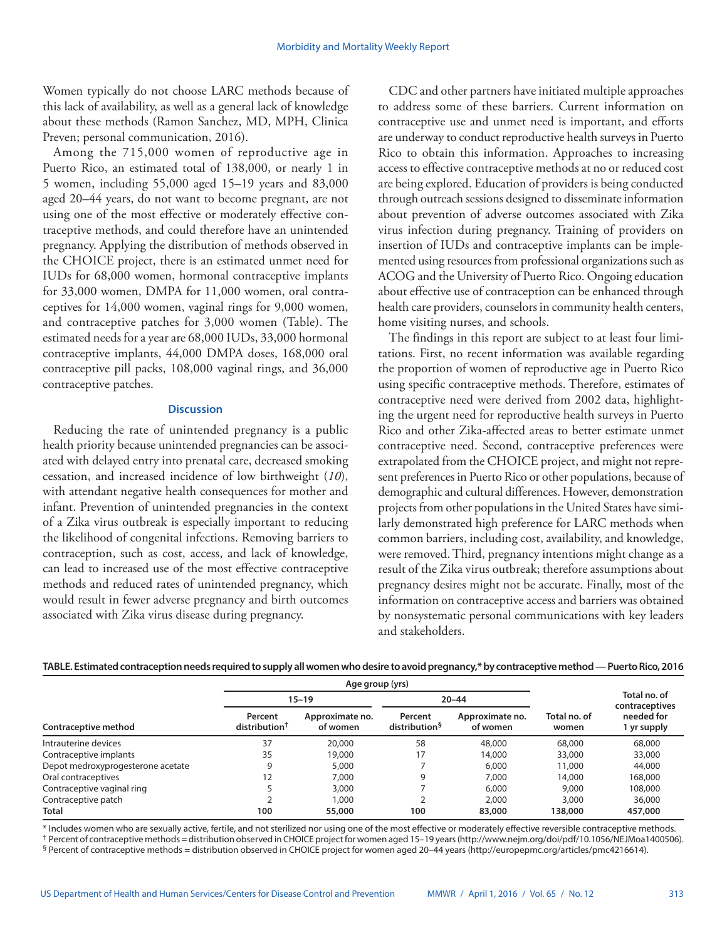Women typically do not choose LARC methods because of this lack of availability, as well as a general lack of knowledge about these methods (Ramon Sanchez, MD, MPH, Clinica Preven; personal communication, 2016).

Among the 715,000 women of reproductive age in Puerto Rico, an estimated total of 138,000, or nearly 1 in 5 women, including 55,000 aged 15–19 years and 83,000 aged 20–44 years, do not want to become pregnant, are not using one of the most effective or moderately effective contraceptive methods, and could therefore have an unintended pregnancy. Applying the distribution of methods observed in the CHOICE project, there is an estimated unmet need for IUDs for 68,000 women, hormonal contraceptive implants for 33,000 women, DMPA for 11,000 women, oral contraceptives for 14,000 women, vaginal rings for 9,000 women, and contraceptive patches for 3,000 women (Table). The estimated needs for a year are 68,000 IUDs, 33,000 hormonal contraceptive implants, 44,000 DMPA doses, 168,000 oral contraceptive pill packs, 108,000 vaginal rings, and 36,000 contraceptive patches.

### **Discussion**

Reducing the rate of unintended pregnancy is a public health priority because unintended pregnancies can be associated with delayed entry into prenatal care, decreased smoking cessation, and increased incidence of low birthweight (*10*), with attendant negative health consequences for mother and infant. Prevention of unintended pregnancies in the context of a Zika virus outbreak is especially important to reducing the likelihood of congenital infections. Removing barriers to contraception, such as cost, access, and lack of knowledge, can lead to increased use of the most effective contraceptive methods and reduced rates of unintended pregnancy, which would result in fewer adverse pregnancy and birth outcomes associated with Zika virus disease during pregnancy.

CDC and other partners have initiated multiple approaches to address some of these barriers. Current information on contraceptive use and unmet need is important, and efforts are underway to conduct reproductive health surveys in Puerto Rico to obtain this information. Approaches to increasing access to effective contraceptive methods at no or reduced cost are being explored. Education of providers is being conducted through outreach sessions designed to disseminate information about prevention of adverse outcomes associated with Zika virus infection during pregnancy. Training of providers on insertion of IUDs and contraceptive implants can be implemented using resources from professional organizations such as ACOG and the University of Puerto Rico. Ongoing education about effective use of contraception can be enhanced through health care providers, counselors in community health centers, home visiting nurses, and schools.

The findings in this report are subject to at least four limitations. First, no recent information was available regarding the proportion of women of reproductive age in Puerto Rico using specific contraceptive methods. Therefore, estimates of contraceptive need were derived from 2002 data, highlighting the urgent need for reproductive health surveys in Puerto Rico and other Zika-affected areas to better estimate unmet contraceptive need. Second, contraceptive preferences were extrapolated from the CHOICE project, and might not represent preferences in Puerto Rico or other populations, because of demographic and cultural differences. However, demonstration projects from other populations in the United States have similarly demonstrated high preference for LARC methods when common barriers, including cost, availability, and knowledge, were removed. Third, pregnancy intentions might change as a result of the Zika virus outbreak; therefore assumptions about pregnancy desires might not be accurate. Finally, most of the information on contraceptive access and barriers was obtained by nonsystematic personal communications with key leaders and stakeholders.

| TABLE. Estimated contraception needs required to supply all women who desire to avoid pregnancy,* by contraceptive method — Puerto Rico, 2016 |  |  |  |
|-----------------------------------------------------------------------------------------------------------------------------------------------|--|--|--|
|                                                                                                                                               |  |  |  |

|                                   |                                      | Age group (yrs)             |                                      |                             |                       |                                |
|-----------------------------------|--------------------------------------|-----------------------------|--------------------------------------|-----------------------------|-----------------------|--------------------------------|
|                                   |                                      | $15 - 19$                   | $20 - 44$                            |                             |                       | Total no. of<br>contraceptives |
| Contraceptive method              | Percent<br>distribution <sup>†</sup> | Approximate no.<br>of women | Percent<br>distribution <sup>§</sup> | Approximate no.<br>of women | Total no. of<br>women | needed for<br>1 yr supply      |
| Intrauterine devices              | 37                                   | 20,000                      | 58                                   | 48,000                      | 68,000                | 68,000                         |
| Contraceptive implants            | 35                                   | 19,000                      | 17                                   | 14,000                      | 33,000                | 33,000                         |
| Depot medroxyprogesterone acetate | 9                                    | 5,000                       |                                      | 6,000                       | 11,000                | 44,000                         |
| Oral contraceptives               | 12                                   | 7,000                       | 9                                    | 7,000                       | 14,000                | 168,000                        |
| Contraceptive vaginal ring        |                                      | 3,000                       |                                      | 6,000                       | 9,000                 | 108,000                        |
| Contraceptive patch               |                                      | 1,000                       |                                      | 2,000                       | 3,000                 | 36,000                         |
| <b>Total</b>                      | 100                                  | 55,000                      | 100                                  | 83,000                      | 138,000               | 457,000                        |

\* Includes women who are sexually active, fertile, and not sterilized nor using one of the most effective or moderately effective reversible contraceptive methods. † Percent of contraceptive methods = distribution observed in CHOICE project for women aged 15–19 years [\(http://www.nejm.org/doi/pdf/10.1056/NEJMoa1400506](http://www.nejm.org/doi/pdf/10.1056/NEJMoa1400506)). § Percent of contraceptive methods = distribution observed in CHOICE project for women aged 20–44 years [\(http://europepmc.org/articles/pmc4216614](http://europepmc.org/articles/pmc4216614)).